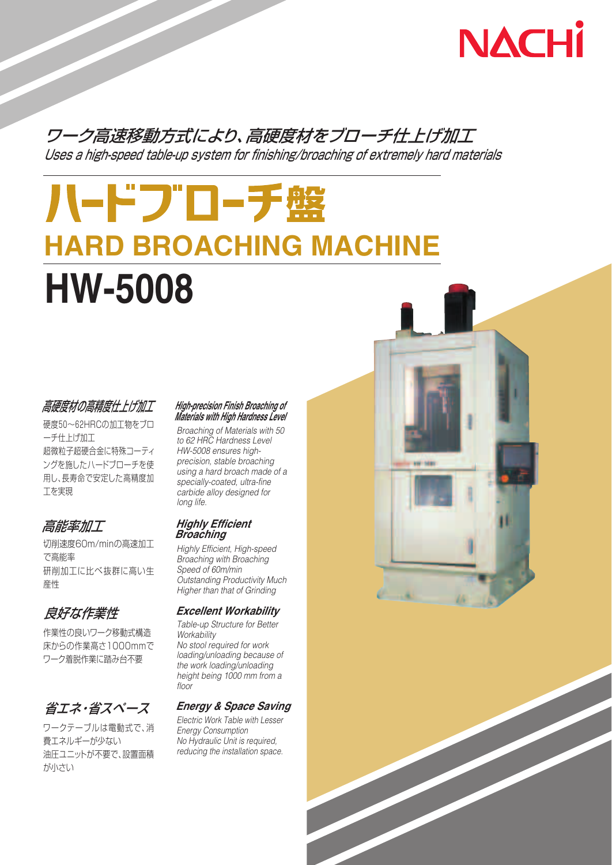

# ワーク高速移動方式により、高硬度材をブローチ仕上げ加工 Uses a high-speed table-up system for finishing/broaching of extremely hard materials

# ハードブローチ盤 **HARD BROACHING MACHINE HW-5008**

## 高硬度材の高精度仕上げ加工

硬度50~62HRCの加工物をブロ ーチ仕上げ加工 超微粒子超硬合金に特殊コーティ ングを施したハードブローチを使 用し、長寿命で安定した高精度加 工を実現

# 高能率加工

切削速度60m/minの高速加工 で高能率 研削加工に比べ抜群に高い生 産性

# 良好な作業性

作業性の良いワーク移動式構造 床からの作業高さ1000mmで ワーク着脱作業に踏み台不要

# 省エネ・省スペース

ワークテーブルは電動式で、消 費エネルギーが少ない 油圧ユニットが不要で、設置面積 が小さい

#### **High-precision Finish Broaching of Materials with High Hardness Level**

Broaching of Materials with 50 to 62 HRC Hardness Level HW-5008 ensures highprecision, stable broaching using a hard broach made of a specially-coated, ultra-fine carbide alloy designed for long life.

#### **Highly Efficient Broaching**

Highly Efficient, High-speed Broaching with Broaching Speed of 60m/min Outstanding Productivity Much Higher than that of Grinding

#### **Excellent Workability**

Table-up Structure for Better **Workability** No stool required for work loading/unloading because of the work loading/unloading height being 1000 mm from a floor

### **Energy & Space Saving**

Electric Work Table with Lesser Energy Consumption No Hydraulic Unit is required, reducing the installation space.